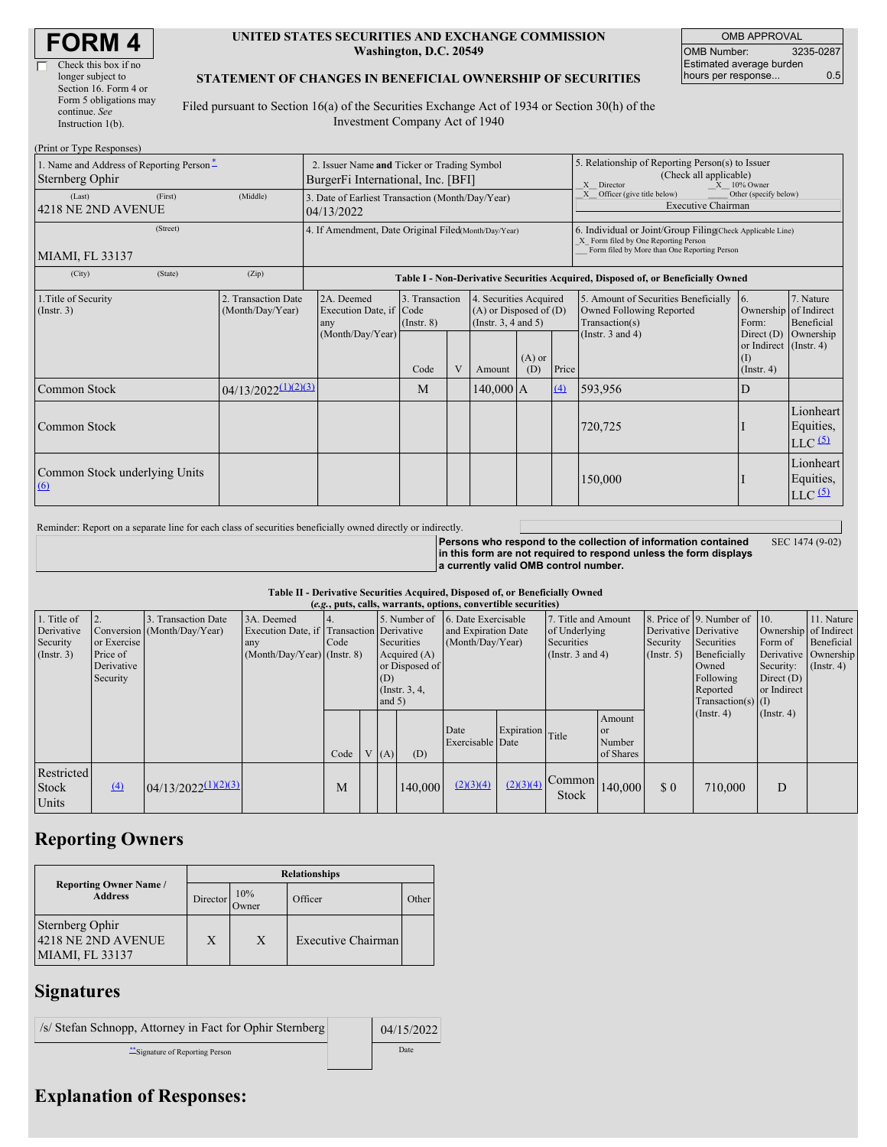| Check this box if no   |
|------------------------|
| longer subject to      |
| Section 16. Form 4 or  |
| Form 5 obligations may |
| continue. See          |
| Instruction $1(b)$ .   |

#### **UNITED STATES SECURITIES AND EXCHANGE COMMISSION Washington, D.C. 20549**

OMB APPROVAL OMB Number: 3235-0287 Estimated average burden hours per response... 0.5

SEC 1474 (9-02)

### **STATEMENT OF CHANGES IN BENEFICIAL OWNERSHIP OF SECURITIES**

Filed pursuant to Section 16(a) of the Securities Exchange Act of 1934 or Section 30(h) of the Investment Company Act of 1940

| (Print or Type Responses)                                   |          |                                                                                   |                                                                                  |                                   |   |                                                                                  |                 |                                                                                                              |                                                                                                                                                    |                                                                   |                                                             |  |
|-------------------------------------------------------------|----------|-----------------------------------------------------------------------------------|----------------------------------------------------------------------------------|-----------------------------------|---|----------------------------------------------------------------------------------|-----------------|--------------------------------------------------------------------------------------------------------------|----------------------------------------------------------------------------------------------------------------------------------------------------|-------------------------------------------------------------------|-------------------------------------------------------------|--|
| 1. Name and Address of Reporting Person*<br>Sternberg Ophir |          | 2. Issuer Name and Ticker or Trading Symbol<br>BurgerFi International, Inc. [BFI] |                                                                                  |                                   |   |                                                                                  |                 | 5. Relationship of Reporting Person(s) to Issuer<br>(Check all applicable)<br>$X = 10\%$ Owner<br>X Director |                                                                                                                                                    |                                                                   |                                                             |  |
| (Last)<br>4218 NE 2ND AVENUE                                | (Middle) | 3. Date of Earliest Transaction (Month/Day/Year)<br>04/13/2022                    |                                                                                  |                                   |   |                                                                                  |                 | X Officer (give title below)<br>Other (specify below)<br><b>Executive Chairman</b>                           |                                                                                                                                                    |                                                                   |                                                             |  |
| (Street)<br>MIAMI, FL 33137                                 |          |                                                                                   | 4. If Amendment, Date Original Filed(Month/Day/Year)                             |                                   |   |                                                                                  |                 |                                                                                                              | 6. Individual or Joint/Group Filing(Check Applicable Line)<br>X Form filed by One Reporting Person<br>Form filed by More than One Reporting Person |                                                                   |                                                             |  |
| (City)                                                      | (State)  | (Zip)                                                                             | Table I - Non-Derivative Securities Acquired, Disposed of, or Beneficially Owned |                                   |   |                                                                                  |                 |                                                                                                              |                                                                                                                                                    |                                                                   |                                                             |  |
| 1. Title of Security<br>(Insert. 3)                         |          | 2. Transaction Date<br>(Month/Day/Year)                                           | 2A. Deemed<br>Execution Date, if Code<br>any                                     | 3. Transaction<br>$($ Instr. $8)$ |   | 4. Securities Acquired<br>$(A)$ or Disposed of $(D)$<br>(Instr. $3, 4$ and $5$ ) |                 |                                                                                                              | 5. Amount of Securities Beneficially<br>Owned Following Reported<br>Transaction(s)                                                                 | 16.<br>Ownership of Indirect<br>Form:                             | 7. Nature<br>Beneficial                                     |  |
|                                                             |          |                                                                                   | (Month/Day/Year)                                                                 | Code                              | V | Amount                                                                           | $(A)$ or<br>(D) | Price                                                                                                        | (Instr. $3$ and $4$ )                                                                                                                              | Direct $(D)$<br>or Indirect (Instr. 4)<br>(1)<br>$($ Instr. 4 $)$ | Ownership                                                   |  |
| Common Stock                                                |          | $04/13/2022^{(1)(2)(3)}$                                                          |                                                                                  | M                                 |   | 140,000 A                                                                        |                 | (4)                                                                                                          | 593,956                                                                                                                                            | D                                                                 |                                                             |  |
| Common Stock                                                |          |                                                                                   |                                                                                  |                                   |   |                                                                                  |                 |                                                                                                              | 720,725                                                                                                                                            |                                                                   | Lionheart<br>Equities,<br>$LLC$ <sup><math>(5)</math></sup> |  |
| Common Stock underlying Units<br>$\Omega$                   |          |                                                                                   |                                                                                  |                                   |   |                                                                                  |                 |                                                                                                              | 150,000                                                                                                                                            |                                                                   | Lionheart<br>Equities,<br>$LLC$ <sup><math>(5)</math></sup> |  |

Reminder: Report on a separate line for each class of securities beneficially owned directly or indirectly.

**Persons who respond to the collection of information contained in this form are not required to respond unless the form displays a currently valid OMB control number.**

#### **Table II - Derivative Securities Acquired, Disposed of, or Beneficially Owned**

| (e.g., puts, calls, warrants, options, convertible securities) |                                       |                                                 |                                                                                                 |      |  |                         |                                                |                                                                             |                  |                                                                             |                                            |                                                    |                                                                     |                                                                       |                                              |
|----------------------------------------------------------------|---------------------------------------|-------------------------------------------------|-------------------------------------------------------------------------------------------------|------|--|-------------------------|------------------------------------------------|-----------------------------------------------------------------------------|------------------|-----------------------------------------------------------------------------|--------------------------------------------|----------------------------------------------------|---------------------------------------------------------------------|-----------------------------------------------------------------------|----------------------------------------------|
| 1. Title of<br>Derivative<br>Security<br>$($ Instr. 3 $)$      | or Exercise<br>Price of<br>Derivative | Transaction Date<br>Conversion (Month/Day/Year) | 3A. Deemed<br>Execution Date, if Transaction Derivative<br>any<br>$(Month/Day/Year)$ (Instr. 8) | Code |  |                         | Securities<br>Acquired $(A)$<br>or Disposed of | 5. Number of 6. Date Exercisable<br>and Expiration Date<br>(Month/Day/Year) |                  | 7. Title and Amount<br>of Underlying<br>Securities<br>(Instr. $3$ and $4$ ) |                                            | Derivative Derivative<br>Security<br>$($ Instr. 5) | 8. Price of 9. Number of 10.<br>Securities<br>Beneficially<br>Owned | Ownership of Indirect<br>Form of<br>Derivative Ownership<br>Security: | 11. Nature<br>Beneficial<br>$($ Instr. 4 $)$ |
|                                                                | Security                              |                                                 |                                                                                                 | Code |  | (D)<br>and $5)$<br>V(A) | (Instr. $3, 4,$<br>(D)                         | Date<br>Exercisable Date                                                    | Expiration Title |                                                                             | Amount<br><b>or</b><br>Number<br>of Shares |                                                    | Following<br>Reported<br>$Transaction(s)$ (I)<br>$($ Instr. 4 $)$   | Direct $(D)$<br>or Indirect<br>$($ Instr. 4 $)$                       |                                              |
| Restricted<br>Stock<br>Units                                   | $\left(4\right)$                      | $04/13/2022^{(1)(2)(3)}$                        |                                                                                                 | M    |  |                         | 140,000                                        | (2)(3)(4)                                                                   | (2)(3)(4)        | Common<br>Stock                                                             | 140,000                                    | \$0                                                | 710,000                                                             | D                                                                     |                                              |

## **Reporting Owners**

|                                                                 | <b>Relationships</b> |              |                           |       |  |  |  |  |  |
|-----------------------------------------------------------------|----------------------|--------------|---------------------------|-------|--|--|--|--|--|
| <b>Reporting Owner Name /</b><br><b>Address</b>                 | Director             | 10%<br>Owner | Officer                   | Other |  |  |  |  |  |
| Sternberg Ophir<br>4218 NE 2ND AVENUE<br><b>MIAMI, FL 33137</b> | X                    | X            | <b>Executive Chairman</b> |       |  |  |  |  |  |

### **Signatures**

| /s/ Stefan Schnopp, Attorney in Fact for Ophir Sternberg | 04/15/2022 |
|----------------------------------------------------------|------------|
| Signature of Reporting Person                            | Date       |

# **Explanation of Responses:**